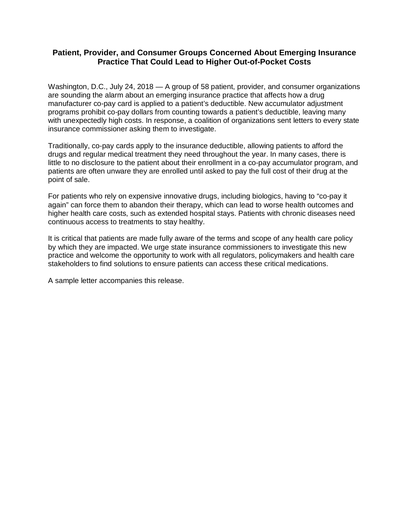## **Patient, Provider, and Consumer Groups Concerned About Emerging Insurance Practice That Could Lead to Higher Out-of-Pocket Costs**

Washington, D.C., July 24, 2018 — A group of 58 patient, provider, and consumer organizations are sounding the alarm about an emerging insurance practice that affects how a drug manufacturer co-pay card is applied to a patient's deductible. New accumulator adjustment programs prohibit co-pay dollars from counting towards a patient's deductible, leaving many with unexpectedly high costs. In response, a coalition of organizations sent letters to every state insurance commissioner asking them to investigate.

Traditionally, co-pay cards apply to the insurance deductible, allowing patients to afford the drugs and regular medical treatment they need throughout the year. In many cases, there is little to no disclosure to the patient about their enrollment in a co-pay accumulator program, and patients are often unware they are enrolled until asked to pay the full cost of their drug at the point of sale.

For patients who rely on expensive innovative drugs, including biologics, having to "co-pay it again" can force them to abandon their therapy, which can lead to worse health outcomes and higher health care costs, such as extended hospital stays. Patients with chronic diseases need continuous access to treatments to stay healthy.

It is critical that patients are made fully aware of the terms and scope of any health care policy by which they are impacted. We urge state insurance commissioners to investigate this new practice and welcome the opportunity to work with all regulators, policymakers and health care stakeholders to find solutions to ensure patients can access these critical medications.

A sample letter accompanies this release.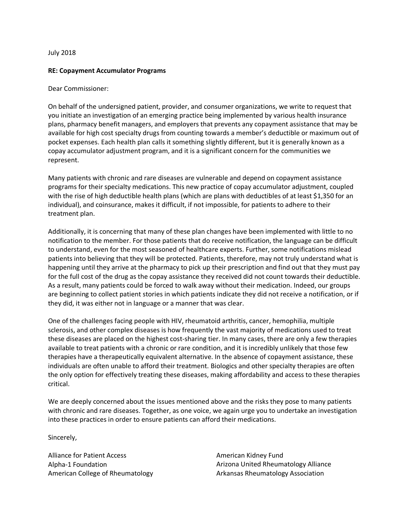## July 2018

## **RE: Copayment Accumulator Programs**

## Dear Commissioner:

On behalf of the undersigned patient, provider, and consumer organizations, we write to request that you initiate an investigation of an emerging practice being implemented by various health insurance plans, pharmacy benefit managers, and employers that prevents any copayment assistance that may be available for high cost specialty drugs from counting towards a member's deductible or maximum out of pocket expenses. Each health plan calls it something slightly different, but it is generally known as a copay accumulator adjustment program, and it is a significant concern for the communities we represent.

Many patients with chronic and rare diseases are vulnerable and depend on copayment assistance programs for their specialty medications. This new practice of copay accumulator adjustment, coupled with the rise of high deductible health plans (which are plans with deductibles of at least \$1,350 for an individual), and coinsurance, makes it difficult, if not impossible, for patients to adhere to their treatment plan.

Additionally, it is concerning that many of these plan changes have been implemented with little to no notification to the member. For those patients that do receive notification, the language can be difficult to understand, even for the most seasoned of healthcare experts. Further, some notifications mislead patients into believing that they will be protected. Patients, therefore, may not truly understand what is happening until they arrive at the pharmacy to pick up their prescription and find out that they must pay for the full cost of the drug as the copay assistance they received did not count towards their deductible. As a result, many patients could be forced to walk away without their medication. Indeed, our groups are beginning to collect patient stories in which patients indicate they did not receive a notification, or if they did, it was either not in language or a manner that was clear.

One of the challenges facing people with HIV, rheumatoid arthritis, cancer, hemophilia, multiple sclerosis, and other complex diseases is how frequently the vast majority of medications used to treat these diseases are placed on the highest cost-sharing tier. In many cases, there are only a few therapies available to treat patients with a chronic or rare condition, and it is incredibly unlikely that those few therapies have a therapeutically equivalent alternative. In the absence of copayment assistance, these individuals are often unable to afford their treatment. Biologics and other specialty therapies are often the only option for effectively treating these diseases, making affordability and access to these therapies critical.

We are deeply concerned about the issues mentioned above and the risks they pose to many patients with chronic and rare diseases. Together, as one voice, we again urge you to undertake an investigation into these practices in order to ensure patients can afford their medications.

Sincerely,

Alliance for Patient Access Alpha-1 Foundation American College of Rheumatology American Kidney Fund Arizona United Rheumatology Alliance Arkansas Rheumatology Association